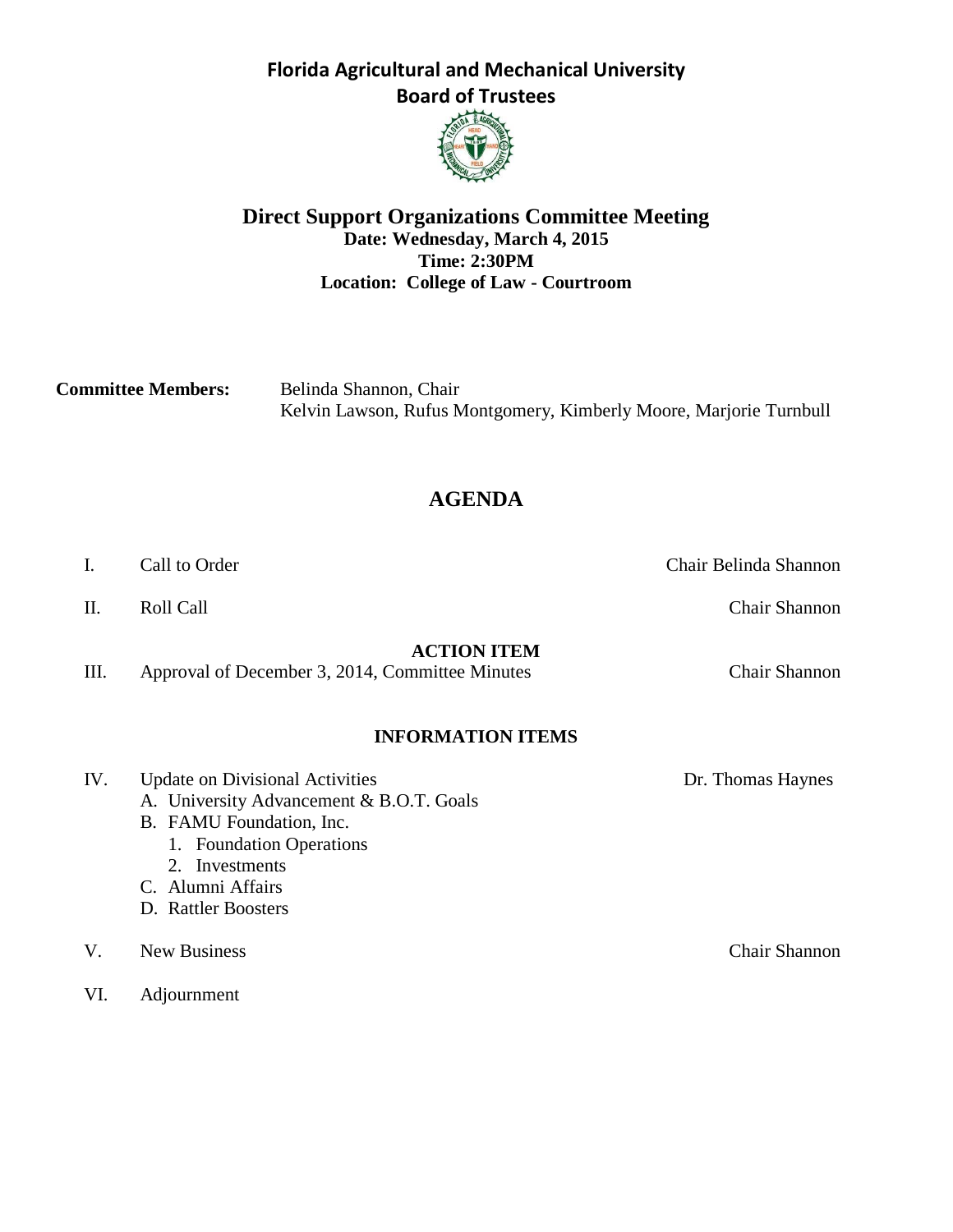

### **Direct Support Organizations Committee Meeting Date: Wednesday, March 4, 2015 Time: 2:30PM Location: College of Law - Courtroom**

**Committee Members:** Belinda Shannon, Chair Kelvin Lawson, Rufus Montgomery, Kimberly Moore, Marjorie Turnbull

# **AGENDA**

I. Call to Order Chair Belinda Shannon

**ACTION ITEM**

III. Approval of December 3, 2014, Committee Minutes Chair Shannon

### **INFORMATION ITEMS**

| IV. | <b>Update on Divisional Activities</b>   | Dr. Thomas Haynes |
|-----|------------------------------------------|-------------------|
|     | A. University Advancement & B.O.T. Goals |                   |
|     | B. FAMU Foundation, Inc.                 |                   |
|     | 1. Foundation Operations                 |                   |
|     | 2. Investments                           |                   |
|     | C. Alumni Affairs                        |                   |
|     | D. Rattler Boosters                      |                   |
| V.  | <b>New Business</b>                      | Chair Shannon     |
| VI. | Adjournment                              |                   |

II. Roll Call Call Call Call Call Chair Shannon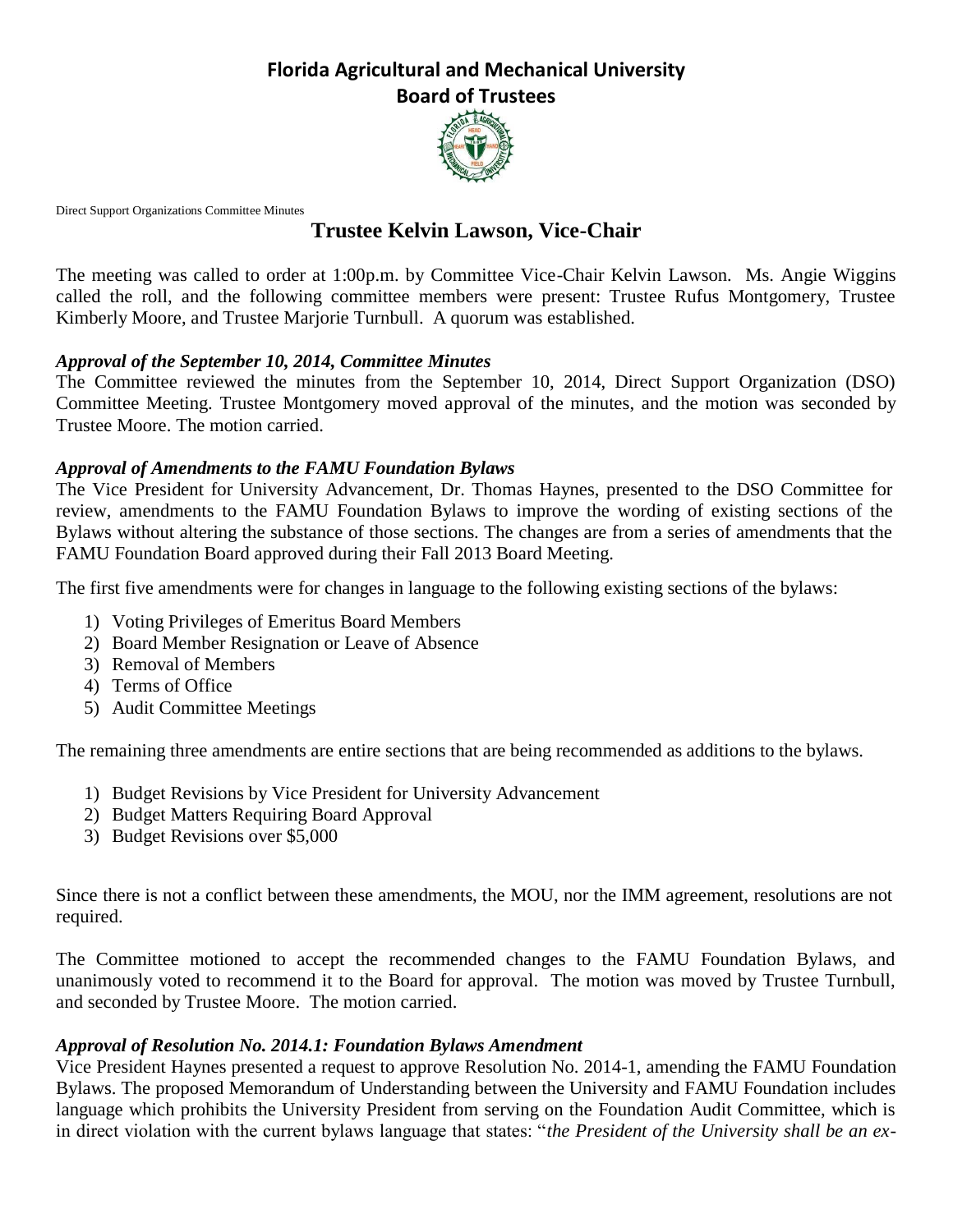

Direct Support Organizations Committee Minutes

## **Trustee Kelvin Lawson, Vice-Chair**

The meeting was called to order at 1:00p.m. by Committee Vice-Chair Kelvin Lawson*.* Ms. Angie Wiggins called the roll, and the following committee members were present: Trustee Rufus Montgomery, Trustee Kimberly Moore, and Trustee Marjorie Turnbull. A quorum was established.

#### *Approval of the September 10, 2014, Committee Minutes*

The Committee reviewed the minutes from the September 10, 2014, Direct Support Organization (DSO) Committee Meeting. Trustee Montgomery moved approval of the minutes, and the motion was seconded by Trustee Moore. The motion carried.

#### *Approval of Amendments to the FAMU Foundation Bylaws*

The Vice President for University Advancement, Dr. Thomas Haynes, presented to the DSO Committee for review, amendments to the FAMU Foundation Bylaws to improve the wording of existing sections of the Bylaws without altering the substance of those sections. The changes are from a series of amendments that the FAMU Foundation Board approved during their Fall 2013 Board Meeting.

The first five amendments were for changes in language to the following existing sections of the bylaws:

- 1) Voting Privileges of Emeritus Board Members
- 2) Board Member Resignation or Leave of Absence
- 3) Removal of Members
- 4) Terms of Office
- 5) Audit Committee Meetings

The remaining three amendments are entire sections that are being recommended as additions to the bylaws.

- 1) Budget Revisions by Vice President for University Advancement
- 2) Budget Matters Requiring Board Approval
- 3) Budget Revisions over \$5,000

Since there is not a conflict between these amendments, the MOU, nor the IMM agreement, resolutions are not required.

The Committee motioned to accept the recommended changes to the FAMU Foundation Bylaws, and unanimously voted to recommend it to the Board for approval. The motion was moved by Trustee Turnbull, and seconded by Trustee Moore. The motion carried.

### *Approval of Resolution No. 2014.1: Foundation Bylaws Amendment*

Vice President Haynes presented a request to approve Resolution No. 2014-1, amending the FAMU Foundation Bylaws. The proposed Memorandum of Understanding between the University and FAMU Foundation includes language which prohibits the University President from serving on the Foundation Audit Committee, which is in direct violation with the current bylaws language that states: "*the President of the University shall be an ex-*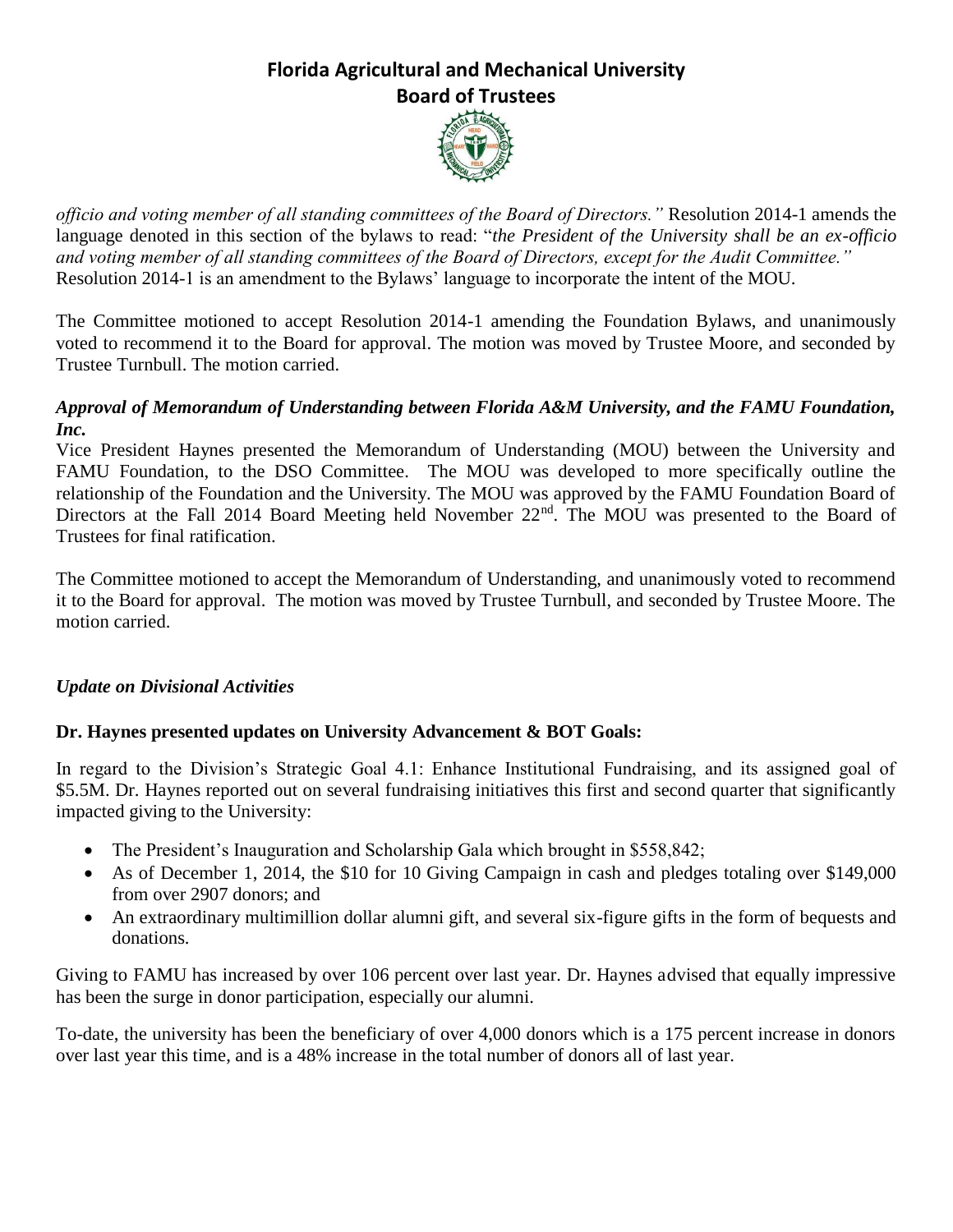

*officio and voting member of all standing committees of the Board of Directors."* Resolution 2014-1 amends the language denoted in this section of the bylaws to read: "*the President of the University shall be an ex-officio and voting member of all standing committees of the Board of Directors, except for the Audit Committee."* Resolution 2014-1 is an amendment to the Bylaws' language to incorporate the intent of the MOU.

The Committee motioned to accept Resolution 2014-1 amending the Foundation Bylaws, and unanimously voted to recommend it to the Board for approval. The motion was moved by Trustee Moore, and seconded by Trustee Turnbull. The motion carried.

### *Approval of Memorandum of Understanding between Florida A&M University, and the FAMU Foundation, Inc.*

Vice President Haynes presented the Memorandum of Understanding (MOU) between the University and FAMU Foundation, to the DSO Committee. The MOU was developed to more specifically outline the relationship of the Foundation and the University. The MOU was approved by the FAMU Foundation Board of Directors at the Fall 2014 Board Meeting held November 22<sup>nd</sup>. The MOU was presented to the Board of Trustees for final ratification.

The Committee motioned to accept the Memorandum of Understanding, and unanimously voted to recommend it to the Board for approval. The motion was moved by Trustee Turnbull, and seconded by Trustee Moore. The motion carried.

### *Update on Divisional Activities*

### **Dr. Haynes presented updates on University Advancement & BOT Goals:**

In regard to the Division's Strategic Goal 4.1: Enhance Institutional Fundraising, and its assigned goal of \$5.5M. Dr. Haynes reported out on several fundraising initiatives this first and second quarter that significantly impacted giving to the University:

- The President's Inauguration and Scholarship Gala which brought in \$558,842;
- As of December 1, 2014, the \$10 for 10 Giving Campaign in cash and pledges totaling over \$149,000 from over 2907 donors; and
- An extraordinary multimillion dollar alumni gift, and several six-figure gifts in the form of bequests and donations.

Giving to FAMU has increased by over 106 percent over last year. Dr. Haynes advised that equally impressive has been the surge in donor participation, especially our alumni.

To-date, the university has been the beneficiary of over 4,000 donors which is a 175 percent increase in donors over last year this time, and is a 48% increase in the total number of donors all of last year.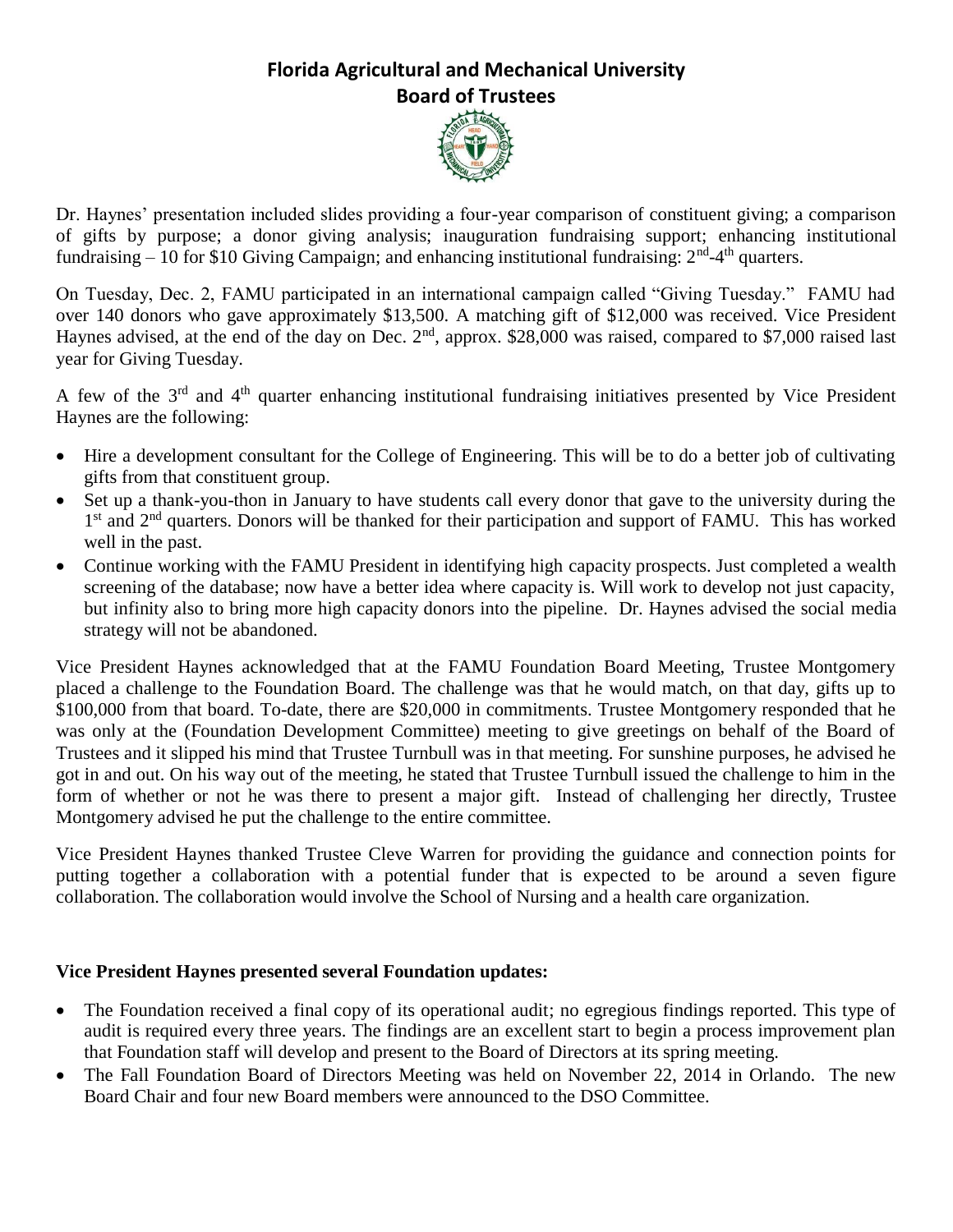

Dr. Haynes' presentation included slides providing a four-year comparison of constituent giving; a comparison of gifts by purpose; a donor giving analysis; inauguration fundraising support; enhancing institutional fundraising  $-10$  for \$10 Giving Campaign; and enhancing institutional fundraising:  $2<sup>nd</sup>-4<sup>th</sup>$  quarters.

On Tuesday, Dec. 2, FAMU participated in an international campaign called "Giving Tuesday." FAMU had over 140 donors who gave approximately \$13,500. A matching gift of \$12,000 was received. Vice President Haynes advised, at the end of the day on Dec. 2<sup>nd</sup>, approx. \$28,000 was raised, compared to \$7,000 raised last year for Giving Tuesday.

A few of the  $3<sup>rd</sup>$  and  $4<sup>th</sup>$  quarter enhancing institutional fundraising initiatives presented by Vice President Haynes are the following:

- Hire a development consultant for the College of Engineering. This will be to do a better job of cultivating gifts from that constituent group.
- Set up a thank-you-thon in January to have students call every donor that gave to the university during the 1<sup>st</sup> and 2<sup>nd</sup> quarters. Donors will be thanked for their participation and support of FAMU. This has worked well in the past.
- Continue working with the FAMU President in identifying high capacity prospects. Just completed a wealth screening of the database; now have a better idea where capacity is. Will work to develop not just capacity, but infinity also to bring more high capacity donors into the pipeline. Dr. Haynes advised the social media strategy will not be abandoned.

Vice President Haynes acknowledged that at the FAMU Foundation Board Meeting, Trustee Montgomery placed a challenge to the Foundation Board. The challenge was that he would match, on that day, gifts up to \$100,000 from that board. To-date, there are \$20,000 in commitments. Trustee Montgomery responded that he was only at the (Foundation Development Committee) meeting to give greetings on behalf of the Board of Trustees and it slipped his mind that Trustee Turnbull was in that meeting. For sunshine purposes, he advised he got in and out. On his way out of the meeting, he stated that Trustee Turnbull issued the challenge to him in the form of whether or not he was there to present a major gift. Instead of challenging her directly, Trustee Montgomery advised he put the challenge to the entire committee.

Vice President Haynes thanked Trustee Cleve Warren for providing the guidance and connection points for putting together a collaboration with a potential funder that is expected to be around a seven figure collaboration. The collaboration would involve the School of Nursing and a health care organization.

### **Vice President Haynes presented several Foundation updates:**

- The Foundation received a final copy of its operational audit; no egregious findings reported. This type of audit is required every three years. The findings are an excellent start to begin a process improvement plan that Foundation staff will develop and present to the Board of Directors at its spring meeting.
- The Fall Foundation Board of Directors Meeting was held on November 22, 2014 in Orlando. The new Board Chair and four new Board members were announced to the DSO Committee.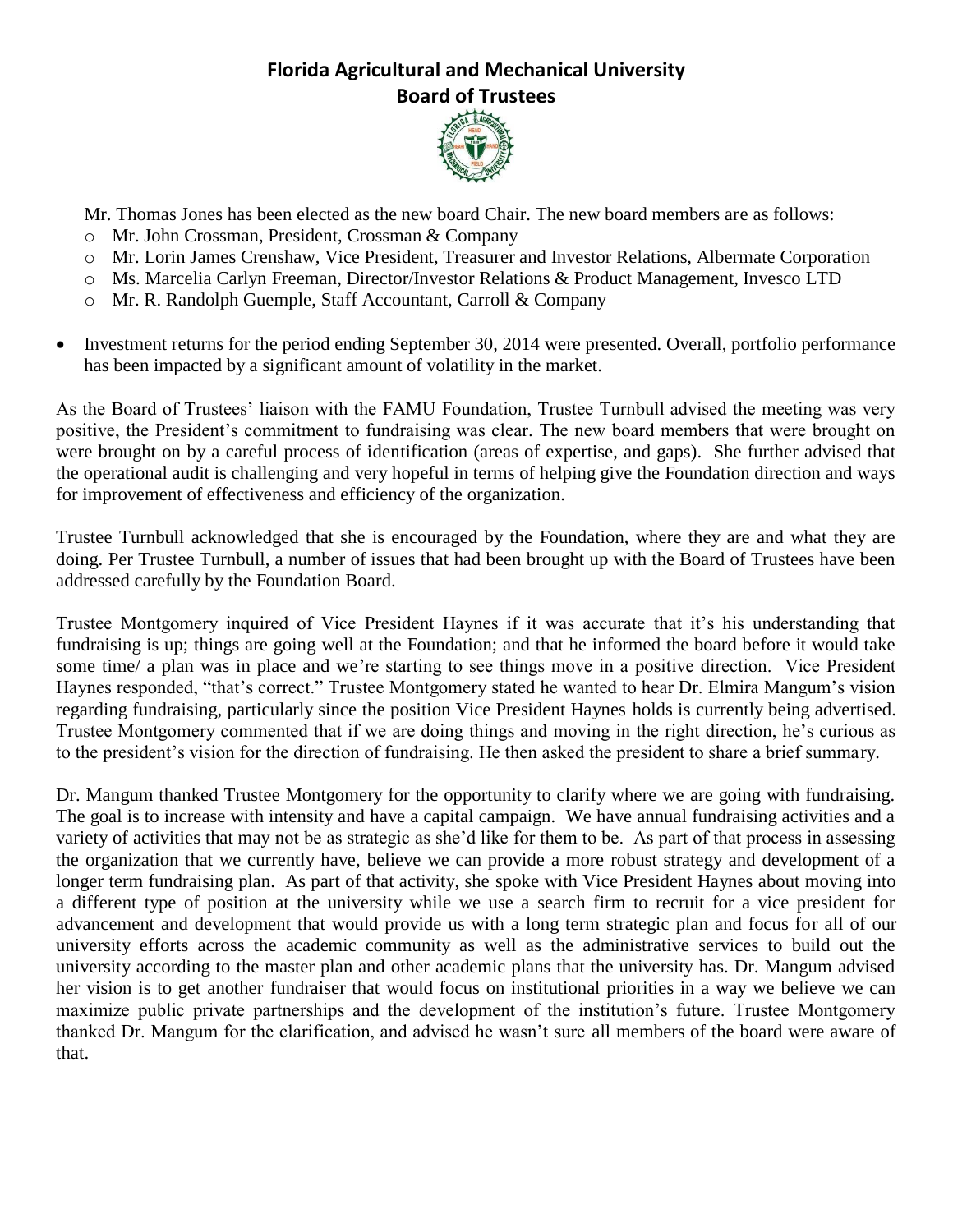

Mr. Thomas Jones has been elected as the new board Chair. The new board members are as follows:

- o Mr. John Crossman, President, Crossman & Company
- o Mr. Lorin James Crenshaw, Vice President, Treasurer and Investor Relations, Albermate Corporation
- o Ms. Marcelia Carlyn Freeman, Director/Investor Relations & Product Management, Invesco LTD
- o Mr. R. Randolph Guemple, Staff Accountant, Carroll & Company
- Investment returns for the period ending September 30, 2014 were presented. Overall, portfolio performance has been impacted by a significant amount of volatility in the market.

As the Board of Trustees' liaison with the FAMU Foundation, Trustee Turnbull advised the meeting was very positive, the President's commitment to fundraising was clear. The new board members that were brought on were brought on by a careful process of identification (areas of expertise, and gaps). She further advised that the operational audit is challenging and very hopeful in terms of helping give the Foundation direction and ways for improvement of effectiveness and efficiency of the organization.

Trustee Turnbull acknowledged that she is encouraged by the Foundation, where they are and what they are doing. Per Trustee Turnbull, a number of issues that had been brought up with the Board of Trustees have been addressed carefully by the Foundation Board.

Trustee Montgomery inquired of Vice President Haynes if it was accurate that it's his understanding that fundraising is up; things are going well at the Foundation; and that he informed the board before it would take some time/ a plan was in place and we're starting to see things move in a positive direction. Vice President Haynes responded, "that's correct." Trustee Montgomery stated he wanted to hear Dr. Elmira Mangum's vision regarding fundraising, particularly since the position Vice President Haynes holds is currently being advertised. Trustee Montgomery commented that if we are doing things and moving in the right direction, he's curious as to the president's vision for the direction of fundraising. He then asked the president to share a brief summary.

Dr. Mangum thanked Trustee Montgomery for the opportunity to clarify where we are going with fundraising. The goal is to increase with intensity and have a capital campaign. We have annual fundraising activities and a variety of activities that may not be as strategic as she'd like for them to be. As part of that process in assessing the organization that we currently have, believe we can provide a more robust strategy and development of a longer term fundraising plan. As part of that activity, she spoke with Vice President Haynes about moving into a different type of position at the university while we use a search firm to recruit for a vice president for advancement and development that would provide us with a long term strategic plan and focus for all of our university efforts across the academic community as well as the administrative services to build out the university according to the master plan and other academic plans that the university has. Dr. Mangum advised her vision is to get another fundraiser that would focus on institutional priorities in a way we believe we can maximize public private partnerships and the development of the institution's future. Trustee Montgomery thanked Dr. Mangum for the clarification, and advised he wasn't sure all members of the board were aware of that.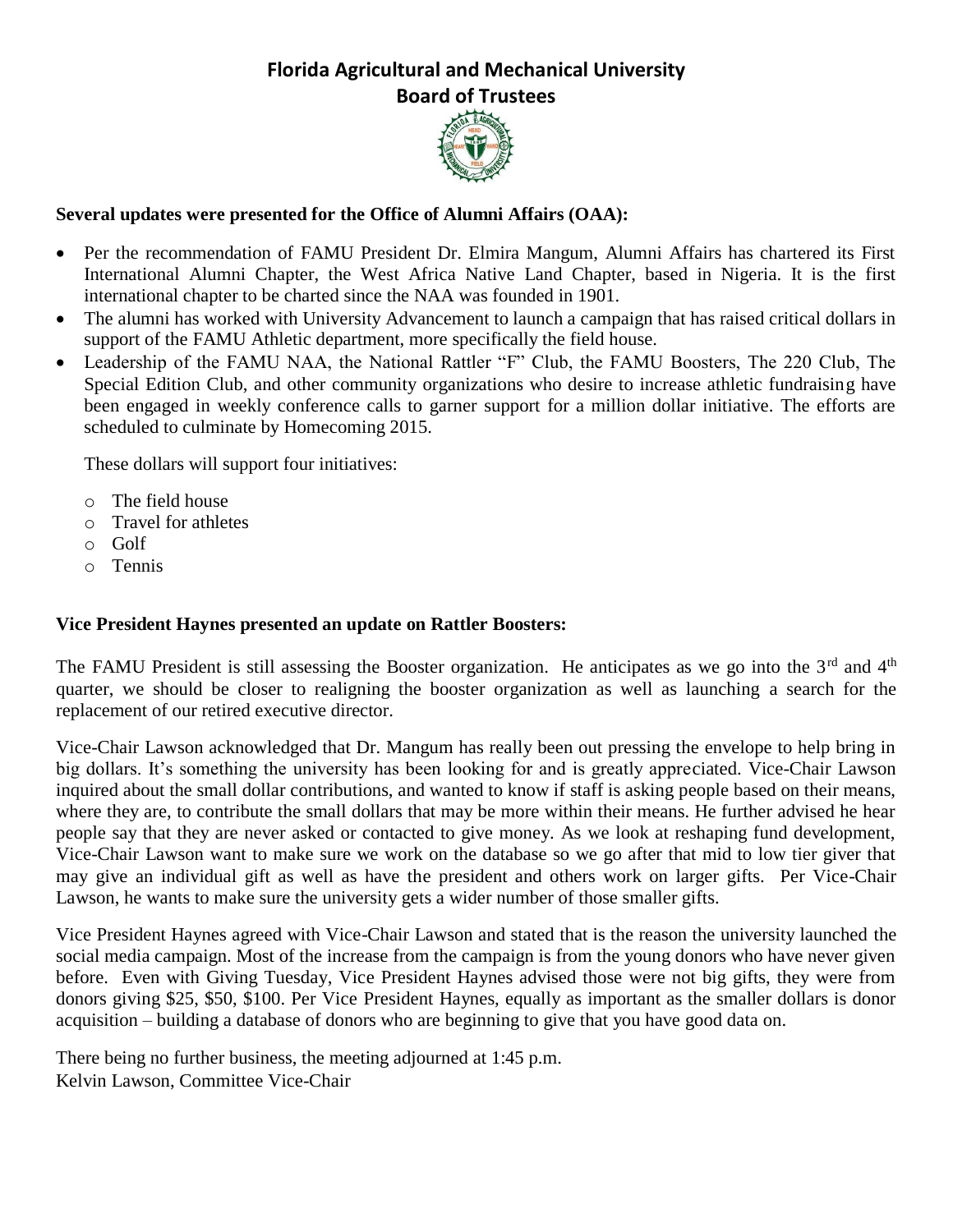

### **Several updates were presented for the Office of Alumni Affairs (OAA):**

- Per the recommendation of FAMU President Dr. Elmira Mangum, Alumni Affairs has chartered its First International Alumni Chapter, the West Africa Native Land Chapter, based in Nigeria. It is the first international chapter to be charted since the NAA was founded in 1901.
- The alumni has worked with University Advancement to launch a campaign that has raised critical dollars in support of the FAMU Athletic department, more specifically the field house.
- Leadership of the FAMU NAA, the National Rattler "F" Club, the FAMU Boosters, The 220 Club, The Special Edition Club, and other community organizations who desire to increase athletic fundraising have been engaged in weekly conference calls to garner support for a million dollar initiative. The efforts are scheduled to culminate by Homecoming 2015.

These dollars will support four initiatives:

- o The field house
- o Travel for athletes
- o Golf
- o Tennis

#### **Vice President Haynes presented an update on Rattler Boosters:**

The FAMU President is still assessing the Booster organization. He anticipates as we go into the  $3<sup>rd</sup>$  and  $4<sup>th</sup>$ quarter, we should be closer to realigning the booster organization as well as launching a search for the replacement of our retired executive director.

Vice-Chair Lawson acknowledged that Dr. Mangum has really been out pressing the envelope to help bring in big dollars. It's something the university has been looking for and is greatly appreciated. Vice-Chair Lawson inquired about the small dollar contributions, and wanted to know if staff is asking people based on their means, where they are, to contribute the small dollars that may be more within their means. He further advised he hear people say that they are never asked or contacted to give money. As we look at reshaping fund development, Vice-Chair Lawson want to make sure we work on the database so we go after that mid to low tier giver that may give an individual gift as well as have the president and others work on larger gifts. Per Vice-Chair Lawson, he wants to make sure the university gets a wider number of those smaller gifts.

Vice President Haynes agreed with Vice-Chair Lawson and stated that is the reason the university launched the social media campaign. Most of the increase from the campaign is from the young donors who have never given before. Even with Giving Tuesday, Vice President Haynes advised those were not big gifts, they were from donors giving \$25, \$50, \$100. Per Vice President Haynes, equally as important as the smaller dollars is donor acquisition – building a database of donors who are beginning to give that you have good data on.

There being no further business, the meeting adjourned at 1:45 p.m. Kelvin Lawson, Committee Vice-Chair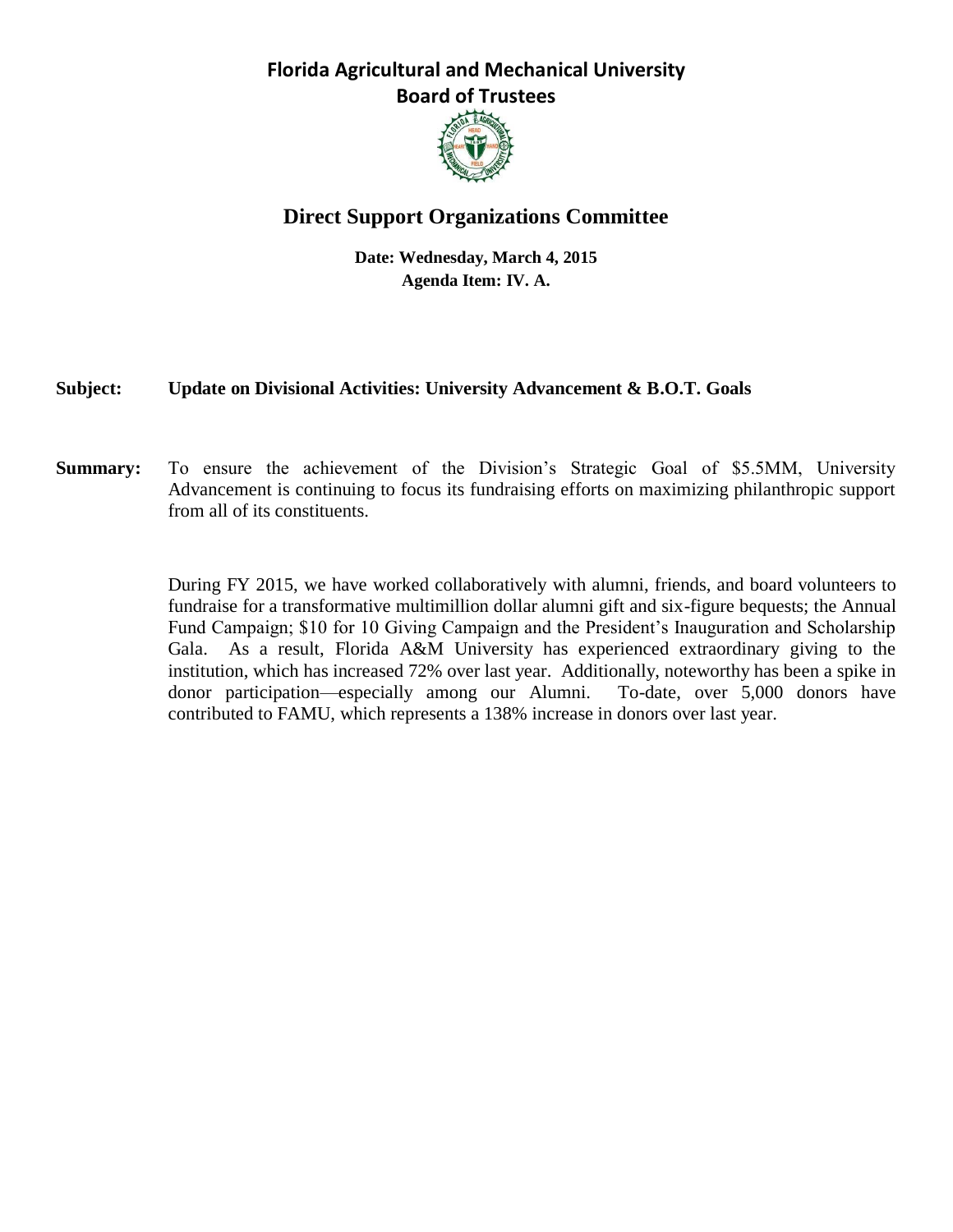

# **Direct Support Organizations Committee**

**Date: Wednesday, March 4, 2015 Agenda Item: IV. A.**

### **Subject: Update on Divisional Activities: University Advancement & B.O.T. Goals**

**Summary:** To ensure the achievement of the Division's Strategic Goal of \$5.5MM, University Advancement is continuing to focus its fundraising efforts on maximizing philanthropic support from all of its constituents.

> During FY 2015, we have worked collaboratively with alumni, friends, and board volunteers to fundraise for a transformative multimillion dollar alumni gift and six-figure bequests; the Annual Fund Campaign; \$10 for 10 Giving Campaign and the President's Inauguration and Scholarship Gala. As a result, Florida A&M University has experienced extraordinary giving to the institution, which has increased 72% over last year. Additionally, noteworthy has been a spike in donor participation—especially among our Alumni. To-date, over 5,000 donors have contributed to FAMU, which represents a 138% increase in donors over last year.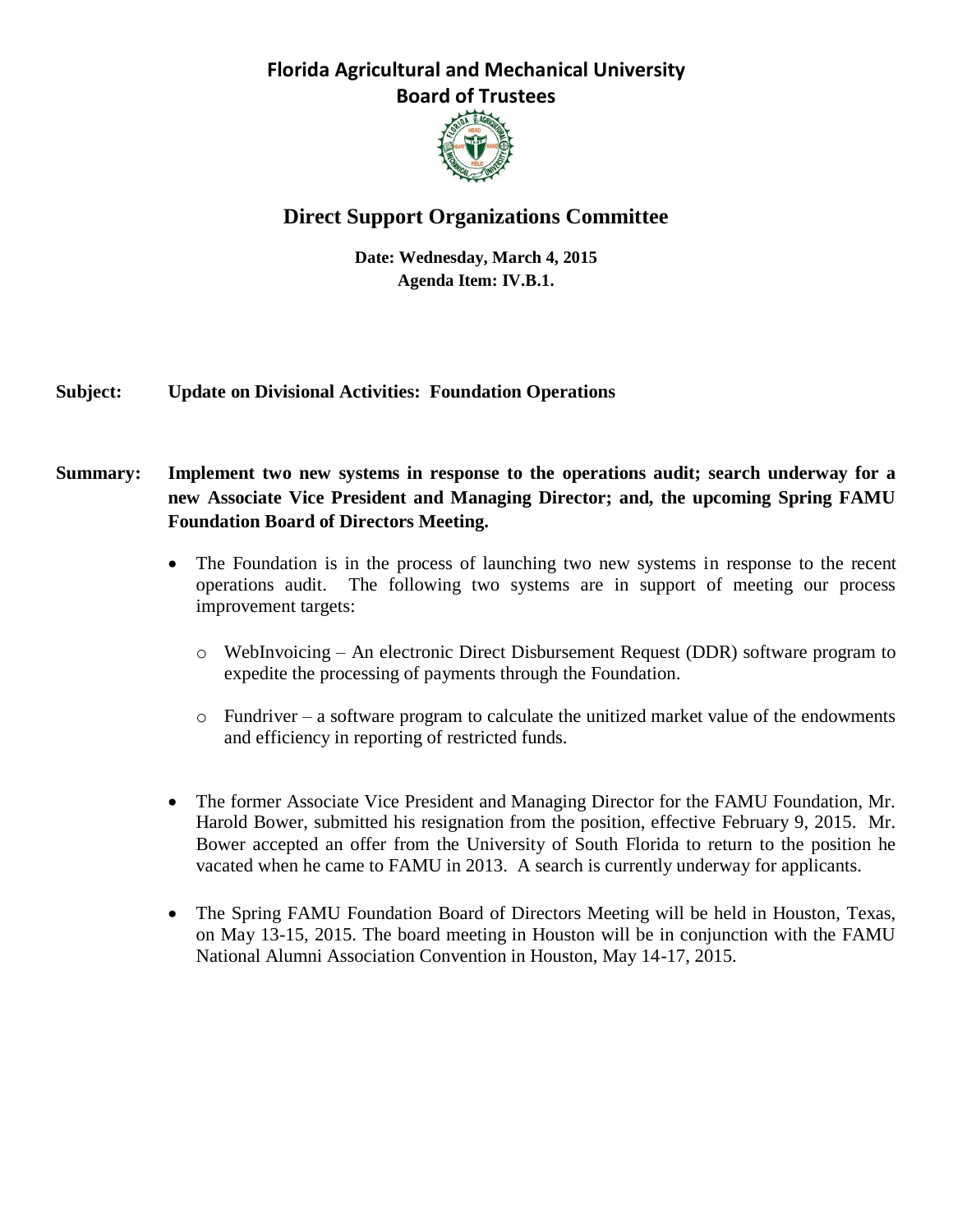

# **Direct Support Organizations Committee**

**Date: Wednesday, March 4, 2015 Agenda Item: IV.B.1.**

### **Subject: Update on Divisional Activities: Foundation Operations**

### **Summary: Implement two new systems in response to the operations audit; search underway for a new Associate Vice President and Managing Director; and, the upcoming Spring FAMU Foundation Board of Directors Meeting.**

- The Foundation is in the process of launching two new systems in response to the recent operations audit. The following two systems are in support of meeting our process improvement targets:
	- o WebInvoicing An electronic Direct Disbursement Request (DDR) software program to expedite the processing of payments through the Foundation.
	- o Fundriver a software program to calculate the unitized market value of the endowments and efficiency in reporting of restricted funds.
- The former Associate Vice President and Managing Director for the FAMU Foundation, Mr. Harold Bower, submitted his resignation from the position, effective February 9, 2015. Mr. Bower accepted an offer from the University of South Florida to return to the position he vacated when he came to FAMU in 2013. A search is currently underway for applicants.
- The Spring FAMU Foundation Board of Directors Meeting will be held in Houston, Texas, on May 13-15, 2015. The board meeting in Houston will be in conjunction with the FAMU National Alumni Association Convention in Houston, May 14-17, 2015.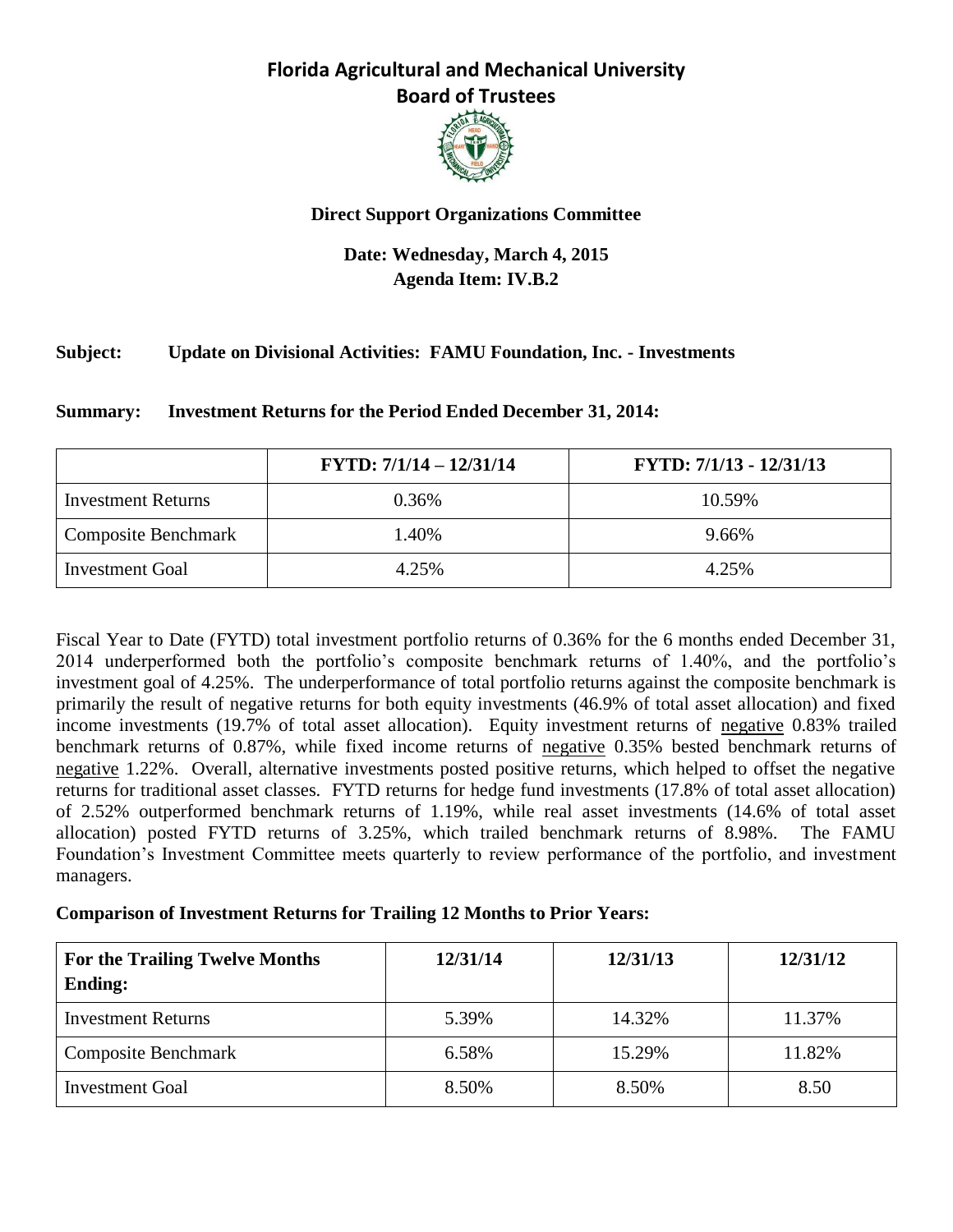

### **Direct Support Organizations Committee**

## **Date: Wednesday, March 4, 2015 Agenda Item: IV.B.2**

### **Subject: Update on Divisional Activities: FAMU Foundation, Inc. - Investments**

|                            | $FYTD: 7/1/14 - 12/31/14$ | FYTD: 7/1/13 - 12/31/13 |
|----------------------------|---------------------------|-------------------------|
| <b>Investment Returns</b>  | 0.36%                     | 10.59%                  |
| <b>Composite Benchmark</b> | .40%                      | 9.66%                   |
| <b>Investment Goal</b>     | 4.25%                     | 4.25%                   |

**Summary: Investment Returns for the Period Ended December 31, 2014:**

Fiscal Year to Date (FYTD) total investment portfolio returns of 0.36% for the 6 months ended December 31, 2014 underperformed both the portfolio's composite benchmark returns of 1.40%, and the portfolio's investment goal of 4.25%. The underperformance of total portfolio returns against the composite benchmark is primarily the result of negative returns for both equity investments (46.9% of total asset allocation) and fixed income investments (19.7% of total asset allocation). Equity investment returns of negative 0.83% trailed benchmark returns of 0.87%, while fixed income returns of negative 0.35% bested benchmark returns of negative 1.22%. Overall, alternative investments posted positive returns, which helped to offset the negative returns for traditional asset classes. FYTD returns for hedge fund investments (17.8% of total asset allocation) of 2.52% outperformed benchmark returns of 1.19%, while real asset investments (14.6% of total asset allocation) posted FYTD returns of 3.25%, which trailed benchmark returns of 8.98%. The FAMU Foundation's Investment Committee meets quarterly to review performance of the portfolio, and investment managers.

### **Comparison of Investment Returns for Trailing 12 Months to Prior Years:**

| For the Trailing Twelve Months<br><b>Ending:</b> | 12/31/14 | 12/31/13 | 12/31/12 |
|--------------------------------------------------|----------|----------|----------|
| <b>Investment Returns</b>                        | 5.39%    | 14.32%   | 11.37%   |
| <b>Composite Benchmark</b>                       | 6.58%    | 15.29%   | 11.82%   |
| <b>Investment Goal</b>                           | 8.50%    | 8.50%    | 8.50     |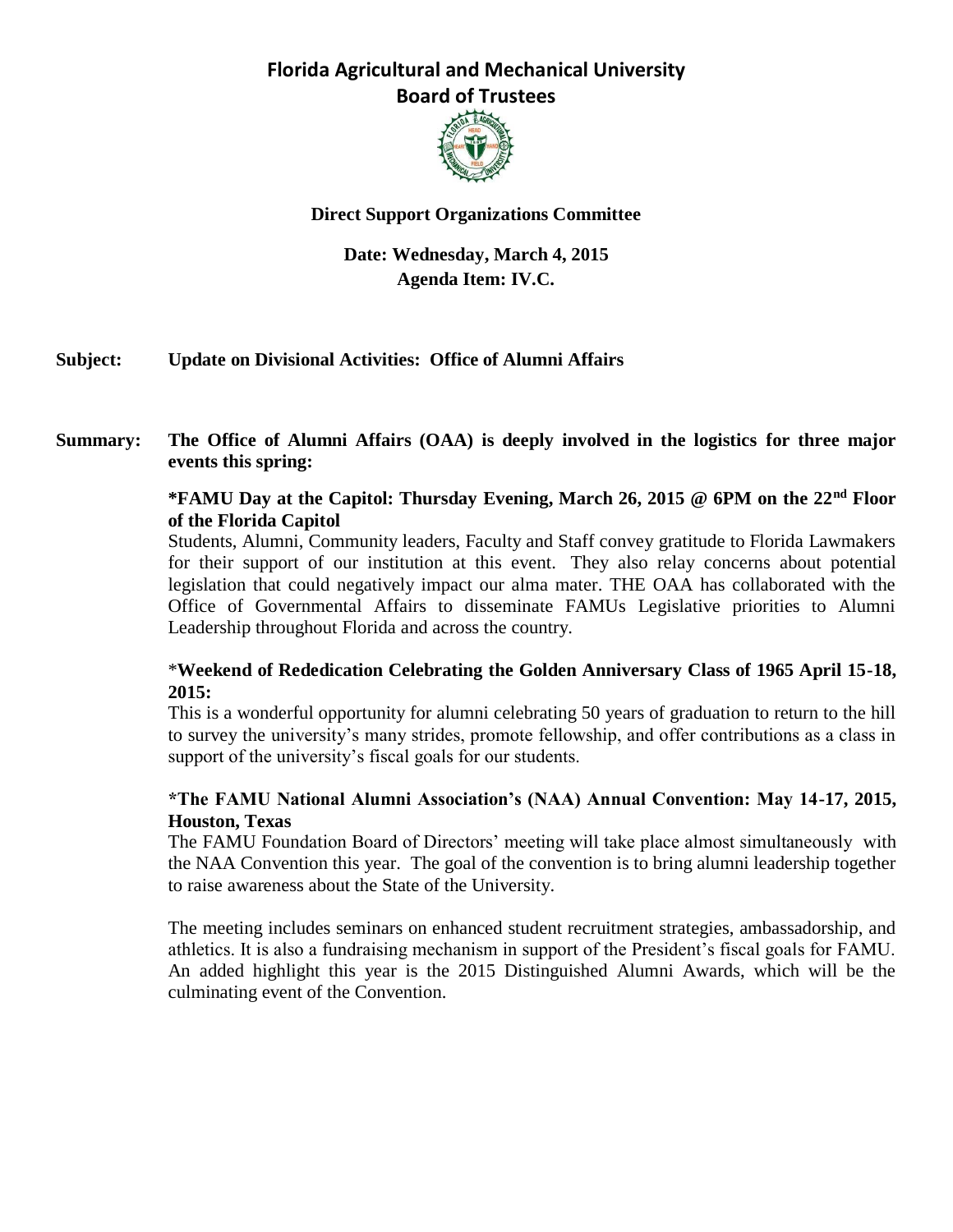

### **Direct Support Organizations Committee**

### **Date: Wednesday, March 4, 2015 Agenda Item: IV.C.**

### **Subject: Update on Divisional Activities: Office of Alumni Affairs**

### **Summary: The Office of Alumni Affairs (OAA) is deeply involved in the logistics for three major events this spring:**

#### **\*FAMU Day at the Capitol: Thursday Evening, March 26, 2015 @ 6PM on the 22nd Floor of the Florida Capitol**

Students, Alumni, Community leaders, Faculty and Staff convey gratitude to Florida Lawmakers for their support of our institution at this event. They also relay concerns about potential legislation that could negatively impact our alma mater. THE OAA has collaborated with the Office of Governmental Affairs to disseminate FAMUs Legislative priorities to Alumni Leadership throughout Florida and across the country.

### \***Weekend of Rededication Celebrating the Golden Anniversary Class of 1965 April 15-18, 2015:**

This is a wonderful opportunity for alumni celebrating 50 years of graduation to return to the hill to survey the university's many strides, promote fellowship, and offer contributions as a class in support of the university's fiscal goals for our students.

### **\*The FAMU National Alumni Association's (NAA) Annual Convention: May 14-17, 2015, Houston, Texas**

The FAMU Foundation Board of Directors' meeting will take place almost simultaneously with the NAA Convention this year. The goal of the convention is to bring alumni leadership together to raise awareness about the State of the University.

The meeting includes seminars on enhanced student recruitment strategies, ambassadorship, and athletics. It is also a fundraising mechanism in support of the President's fiscal goals for FAMU. An added highlight this year is the 2015 Distinguished Alumni Awards, which will be the culminating event of the Convention.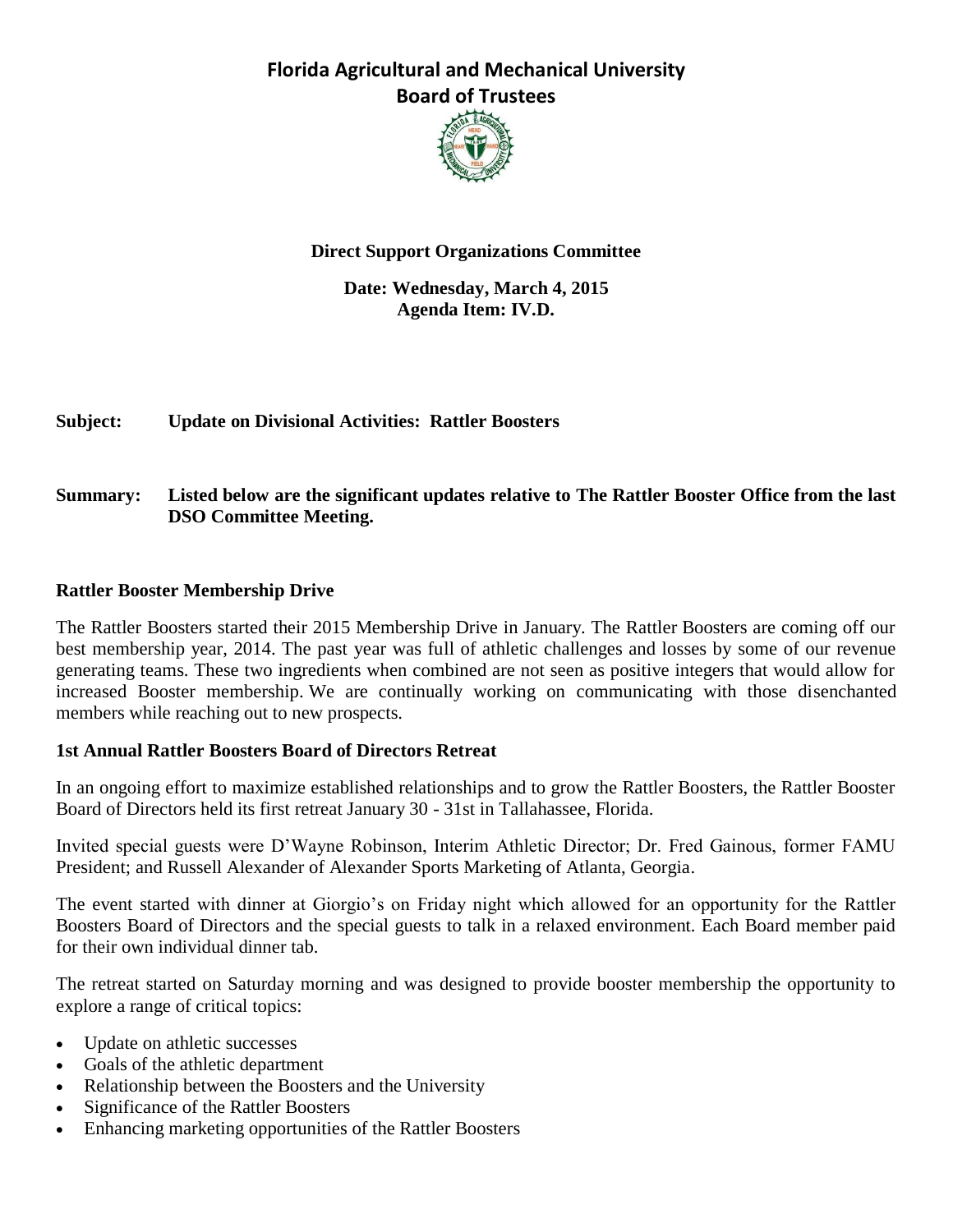

### **Direct Support Organizations Committee**

#### **Date: Wednesday, March 4, 2015 Agenda Item: IV.D.**

**Subject: Update on Divisional Activities: Rattler Boosters**

### **Summary: Listed below are the significant updates relative to The Rattler Booster Office from the last DSO Committee Meeting.**

#### **Rattler Booster Membership Drive**

The Rattler Boosters started their 2015 Membership Drive in January. The Rattler Boosters are coming off our best membership year, 2014. The past year was full of athletic challenges and losses by some of our revenue generating teams. These two ingredients when combined are not seen as positive integers that would allow for increased Booster membership. We are continually working on communicating with those disenchanted members while reaching out to new prospects.

#### **1st Annual Rattler Boosters Board of Directors Retreat**

In an ongoing effort to maximize established relationships and to grow the Rattler Boosters, the Rattler Booster Board of Directors held its first retreat January 30 - 31st in Tallahassee, Florida.

Invited special guests were D'Wayne Robinson, Interim Athletic Director; Dr. Fred Gainous, former FAMU President; and Russell Alexander of Alexander Sports Marketing of Atlanta, Georgia.

The event started with dinner at Giorgio's on Friday night which allowed for an opportunity for the Rattler Boosters Board of Directors and the special guests to talk in a relaxed environment. Each Board member paid for their own individual dinner tab.

The retreat started on Saturday morning and was designed to provide booster membership the opportunity to explore a range of critical topics:

- Update on athletic successes
- Goals of the athletic department
- Relationship between the Boosters and the University
- Significance of the Rattler Boosters
- Enhancing marketing opportunities of the Rattler Boosters